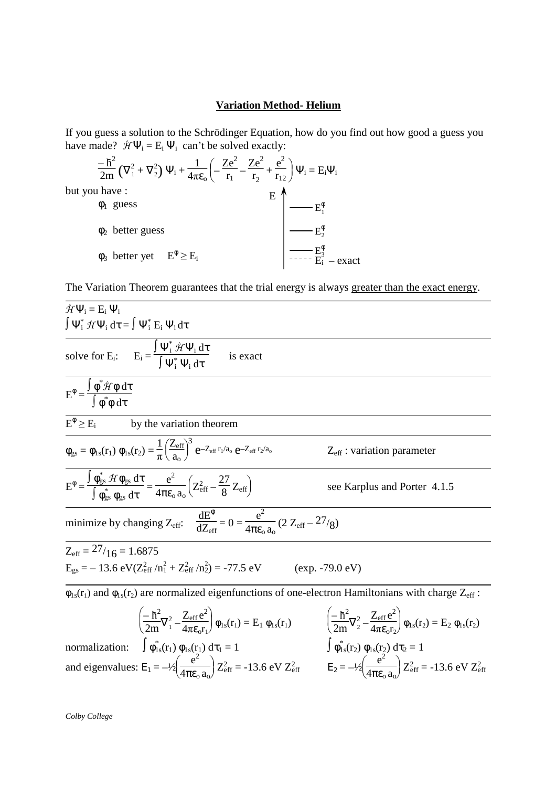## **Variation Method- Helium**

If you guess a solution to the Schrödinger Equation, how do you find out how good a guess you have made?  $\hat{H}\Psi_i = E_i \Psi_i$  can't be solved exactly:

$$
\frac{-\hbar^2}{2m} \left( \nabla_1^2 + \nabla_2^2 \right) \Psi_i + \frac{1}{4\pi \varepsilon_o} \left( -\frac{Ze^2}{r_1} - \frac{Ze^2}{r_2} + \frac{e^2}{r_{12}} \right) \Psi_i = E_i \Psi_i
$$
  
you have :  

$$
\phi_1
$$
 guess  

$$
\phi_2
$$
 better guess  

$$
\phi_3
$$
 better yet  

$$
E^{\phi} \ge E_i
$$

$$
\left| \begin{array}{c} \begin{array}{c} \end{array} \right| \begin{array}{c} \end{array} \begin{array}{c} \end{array} \begin{array}{c} \end{array} \begin{array}{c} \end{array} \begin{array}{c} \end{array} \begin{array}{c} \end{array} \begin{array}{c} \end{array} \begin{array}{c} \end{array} \begin{array}{c} \end{array} \begin{array}{c} \end{array} \begin{array}{c} \end{array} \begin{array} \end{array} \begin{array} \end{array} \begin{array} \end{array} \begin{array} \end{array} \begin{array} \end{array} \begin{array} \end{array} \begin{array} \end{array} \begin{array} \end{array} \begin{array} \end{array} \begin{array} \end{array} \begin{array} \end{array} \begin{array} \end{array} \begin{array} \end{array} \begin{array} \end{array} \begin{array} \end{array} \begin{array} \end{array} \begin{array} \end{array} \begin{array} \end{array} \begin{array} \end{array} \begin{array} \end{array} \begin{array} \end{array} \begin{array} \end{array} \begin{array} \end{array} \begin{array} \end{array} \begin{array} \end{array} \begin{array} \end{array} \begin{array} \end{array} \begin{array} \end{array} \begin{array} \end{array} \begin{array} \end{array} \begin{array} \end{array} \begin{array} \end{array} \begin{array} \end{array} \begin{array} \end{array} \begin{array} \end{array} \begin{array} \end{array} \begin{array} \end{array} \begin{array} \end{array} \begin{array} \end{array} \begin{array} \end{array} \begin{array} \end{array} \begin{array} \end{array} \begin
$$

The Variation Theorem guarantees that the trial energy is always greater than the exact energy.

$$
\hat{J}\hat{f}\Psi_{i} = E_{i}\Psi_{i}
$$
\n
$$
\int \Psi_{i}^{*}\hat{J}\hat{f}\Psi_{i} d\tau = \int \Psi_{i}^{*} E_{i}\Psi_{i} d\tau
$$
\n
$$
E^{\phi} = \frac{\int \phi^{*}\hat{J}\hat{f}\Phi d\tau}{\int \phi^{*}\phi d\tau}
$$
\n
$$
E^{\phi} \geq E_{i}
$$
 by the variation theorem\n
$$
\frac{E^{\phi} \geq E_{i}}{\int \phi_{gs}^{*}\phi_{gs} d\tau} = \frac{1}{\pi \left(\frac{Z_{eff}}{a_{0}}\right)^{3} e^{-Z_{eff}r_{i}/a_{0}} e^{-Z_{eff}r_{2}/a_{0}}}
$$
\n
$$
Z_{eff} : variation parameter
$$
\n
$$
E^{\phi} = \frac{\int \phi_{gs}^{*}\hat{J}\hat{f}\phi_{gs} d\tau}{\int \phi_{gs}^{*}\phi_{gs} d\tau} = \frac{e^{2}}{4\pi \epsilon_{0} a_{0}} \left(Z_{eff}^{2} - \frac{27}{8}Z_{eff}\right)
$$
\n
$$
Z_{eff} : variation parameter
$$
\n
$$
E^{\phi} = \frac{\int \phi_{gs}^{*}\hat{J}\phi_{gs} d\tau}{\int \phi_{gs}^{*}\phi_{gs} d\tau} = \frac{e^{2}}{4\pi \epsilon_{0} a_{0}} \left(Z_{eff}^{2} - \frac{27}{8}Z_{eff}\right)
$$
\n
$$
Z_{eff} = 27/16 = 1.6875
$$
\n
$$
E_{gs} = -13.6 \text{ eV}(Z_{eff}^{2}/n_{1}^{2} + Z_{eff}^{2}/n_{2}^{2}) = -77.5 \text{ eV}
$$
\n
$$
(exp. -79.0 \text{ eV})
$$
\n
$$
\frac{1}{\phi_{15}(r_{1}) and \phi_{15}(r_{2}) are normalized eigenfunctions of one-electron Hamiltonians with charge Z_{eff}:
$$
\n
$$
\left(-\frac{h^{2}}{2m} \nabla_{i}^{2} - \frac{Z_{eff} \epsilon^{2}}{4\pi \epsilon_{0} r_{0}}\right) \phi_{1s}(r_{1}) = E_{1} \phi_{1s}(r_{1})
$$
\n
$$
\left(-\
$$

 $\frac{e}{4\pi\epsilon_0 a_0}$   $Z_{\text{eff}}^2$  = -13.6 eV  $Z_{\text{eff}}^2$ 

*Colby College* 

but

 $\overline{a}$